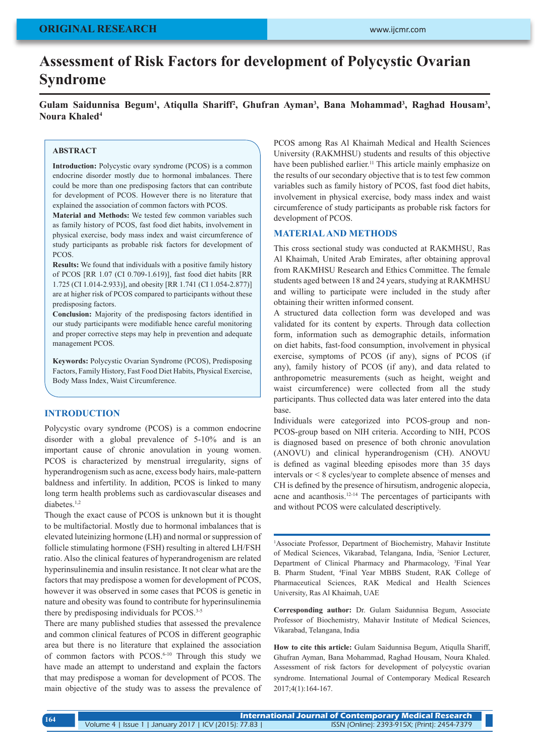# **Assessment of Risk Factors for development of Polycystic Ovarian Syndrome**

Gulam Saidunnisa Begum<sup>1</sup>, Atiqulla Shariff<sup>2</sup>, Ghufran Ayman<sup>3</sup>, Bana Mohammad<sup>3</sup>, Raghad Housam<sup>3</sup>, **Noura Khaled4**

## **ABSTRACT**

**Introduction:** Polycystic ovary syndrome (PCOS) is a common endocrine disorder mostly due to hormonal imbalances. There could be more than one predisposing factors that can contribute for development of PCOS. However there is no literature that explained the association of common factors with PCOS.

**Material and Methods:** We tested few common variables such as family history of PCOS, fast food diet habits, involvement in physical exercise, body mass index and waist circumference of study participants as probable risk factors for development of **PCOS** 

**Results:** We found that individuals with a positive family history of PCOS [RR 1.07 (CI 0.709-1.619)], fast food diet habits [RR 1.725 (CI 1.014-2.933)], and obesity [RR 1.741 (CI 1.054-2.877)] are at higher risk of PCOS compared to participants without these predisposing factors.

**Conclusion:** Majority of the predisposing factors identified in our study participants were modifiable hence careful monitoring and proper corrective steps may help in prevention and adequate management PCOS.

**Keywords:** Polycystic Ovarian Syndrome (PCOS), Predisposing Factors, Family History, Fast Food Diet Habits, Physical Exercise, Body Mass Index, Waist Circumference.

#### **INTRODUCTION**

Polycystic ovary syndrome (PCOS) is a common endocrine disorder with a global prevalence of 5-10% and is an important cause of chronic anovulation in young women. PCOS is characterized by menstrual irregularity, signs of hyperandrogenism such as acne, excess body hairs, male-pattern baldness and infertility. In addition, PCOS is linked to many long term health problems such as cardiovascular diseases and diabetes.<sup>1,2</sup>

Though the exact cause of PCOS is unknown but it is thought to be multifactorial. Mostly due to hormonal imbalances that is elevated luteinizing hormone (LH) and normal or suppression of follicle stimulating hormone (FSH) resulting in altered LH/FSH ratio. Also the clinical features of hyperandrogenism are related hyperinsulinemia and insulin resistance. It not clear what are the factors that may predispose a women for development of PCOS, however it was observed in some cases that PCOS is genetic in nature and obesity was found to contribute for hyperinsulinemia there by predisposing individuals for PCOS.<sup>3-5</sup>

There are many published studies that assessed the prevalence and common clinical features of PCOS in different geographic area but there is no literature that explained the association of common factors with PCOS.6-10 Through this study we have made an attempt to understand and explain the factors that may predispose a woman for development of PCOS. The main objective of the study was to assess the prevalence of PCOS among Ras Al Khaimah Medical and Health Sciences University (RAKMHSU) students and results of this objective have been published earlier.<sup>11</sup> This article mainly emphasize on the results of our secondary objective that is to test few common variables such as family history of PCOS, fast food diet habits, involvement in physical exercise, body mass index and waist circumference of study participants as probable risk factors for development of PCOS.

#### **MATERIAL AND METHODS**

This cross sectional study was conducted at RAKMHSU, Ras Al Khaimah, United Arab Emirates, after obtaining approval from RAKMHSU Research and Ethics Committee. The female students aged between 18 and 24 years, studying at RAKMHSU and willing to participate were included in the study after obtaining their written informed consent.

A structured data collection form was developed and was validated for its content by experts. Through data collection form, information such as demographic details, information on diet habits, fast-food consumption, involvement in physical exercise, symptoms of PCOS (if any), signs of PCOS (if any), family history of PCOS (if any), and data related to anthropometric measurements (such as height, weight and waist circumference) were collected from all the study participants. Thus collected data was later entered into the data base.

Individuals were categorized into PCOS-group and non-PCOS-group based on NIH criteria. According to NIH, PCOS is diagnosed based on presence of both chronic anovulation (ANOVU) and clinical hyperandrogenism (CH). ANOVU is defined as vaginal bleeding episodes more than 35 days intervals or < 8 cycles/year to complete absence of menses and CH is defined by the presence of hirsutism, androgenic alopecia, acne and acanthosis.12-14 The percentages of participants with and without PCOS were calculated descriptively.

<sup>1</sup>Associate Professor, Department of Biochemistry, Mahavir Institute of Medical Sciences, Vikarabad, Telangana, India, 2 Senior Lecturer, Department of Clinical Pharmacy and Pharmacology, 3 Final Year B. Pharm Student, 4 Final Year MBBS Student, RAK College of Pharmaceutical Sciences, RAK Medical and Health Sciences University, Ras Al Khaimah, UAE

**Corresponding author:** Dr. Gulam Saidunnisa Begum, Associate Professor of Biochemistry, Mahavir Institute of Medical Sciences, Vikarabad, Telangana, India

**How to cite this article:** Gulam Saidunnisa Begum, Atiqulla Shariff, Ghufran Ayman, Bana Mohammad, Raghad Housam, Noura Khaled. Assessment of risk factors for development of polycystic ovarian syndrome. International Journal of Contemporary Medical Research 2017;4(1):164-167.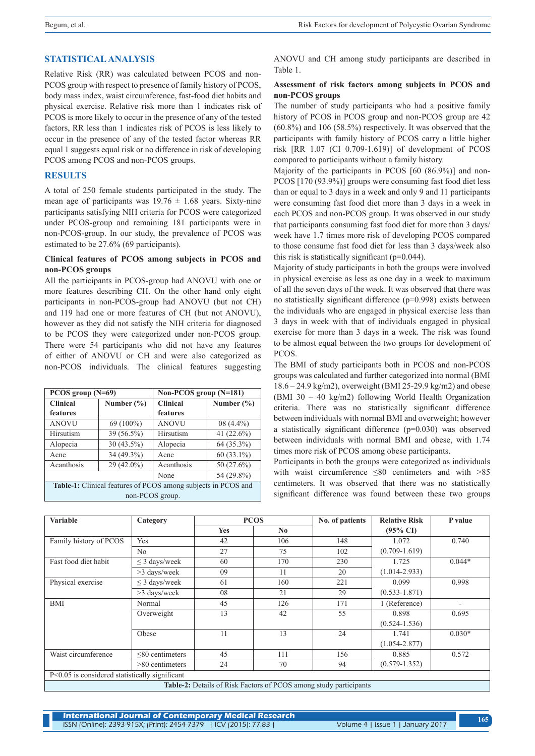# **STATISTICAL ANALYSIS**

Relative Risk (RR) was calculated between PCOS and non-PCOS group with respect to presence of family history of PCOS, body mass index, waist circumference, fast-food diet habits and physical exercise. Relative risk more than 1 indicates risk of PCOS is more likely to occur in the presence of any of the tested factors, RR less than 1 indicates risk of PCOS is less likely to occur in the presence of any of the tested factor whereas RR equal 1 suggests equal risk or no difference in risk of developing PCOS among PCOS and non-PCOS groups.

# **RESULTS**

A total of 250 female students participated in the study. The mean age of participants was  $19.76 \pm 1.68$  years. Sixty-nine participants satisfying NIH criteria for PCOS were categorized under PCOS-group and remaining 181 participants were in non-PCOS-group. In our study, the prevalence of PCOS was estimated to be 27.6% (69 participants).

## **Clinical features of PCOS among subjects in PCOS and non-PCOS groups**

All the participants in PCOS-group had ANOVU with one or more features describing CH. On the other hand only eight participants in non-PCOS-group had ANOVU (but not CH) and 119 had one or more features of CH (but not ANOVU), however as they did not satisfy the NIH criteria for diagnosed to be PCOS they were categorized under non-PCOS group. There were 54 participants who did not have any features of either of ANOVU or CH and were also categorized as non-PCOS individuals. The clinical features suggesting

| PCOS group $(N=69)$                                                  |                | Non-PCOS group (N=181) |                |  |  |  |
|----------------------------------------------------------------------|----------------|------------------------|----------------|--|--|--|
| <b>Clinical</b>                                                      | Number $(\% )$ | <b>Clinical</b>        | Number $(\% )$ |  |  |  |
| features                                                             |                | features               |                |  |  |  |
| <b>ANOVU</b>                                                         | $69(100\%)$    | <b>ANOVU</b>           | $08(4.4\%)$    |  |  |  |
| Hirsutism                                                            | 39 (56.5%)     | Hirsutism              | 41 (22.6%)     |  |  |  |
| Alopecia                                                             | $30(43.5\%)$   | Alopecia               | 64 (35.3%)     |  |  |  |
| Acne                                                                 | 34 (49.3%)     | Acne                   | $60(33.1\%)$   |  |  |  |
| Acanthosis                                                           | $29(42.0\%)$   | Acanthosis             | 50 (27.6%)     |  |  |  |
|                                                                      |                | None                   | 54 (29.8%)     |  |  |  |
| <b>Table-1:</b> Clinical features of PCOS among subjects in PCOS and |                |                        |                |  |  |  |
| non-PCOS group.                                                      |                |                        |                |  |  |  |

ANOVU and CH among study participants are described in Table 1.

## **Assessment of risk factors among subjects in PCOS and non-PCOS groups**

The number of study participants who had a positive family history of PCOS in PCOS group and non-PCOS group are 42 (60.8%) and 106 (58.5%) respectively. It was observed that the participants with family history of PCOS carry a little higher risk [RR 1.07 (CI 0.709-1.619)] of development of PCOS compared to participants without a family history.

Majority of the participants in PCOS [60 (86.9%)] and non-PCOS [170 (93.9%)] groups were consuming fast food diet less than or equal to 3 days in a week and only 9 and 11 participants were consuming fast food diet more than 3 days in a week in each PCOS and non-PCOS group. It was observed in our study that participants consuming fast food diet for more than 3 days/ week have 1.7 times more risk of developing PCOS compared to those consume fast food diet for less than 3 days/week also this risk is statistically significant  $(p=0.044)$ .

Majority of study participants in both the groups were involved in physical exercise as less as one day in a week to maximum of all the seven days of the week. It was observed that there was no statistically significant difference (p=0.998) exists between the individuals who are engaged in physical exercise less than 3 days in week with that of individuals engaged in physical exercise for more than 3 days in a week. The risk was found to be almost equal between the two groups for development of PCOS.

The BMI of study participants both in PCOS and non-PCOS groups was calculated and further categorized into normal (BMI 18.6 – 24.9 kg/m2), overweight (BMI 25-29.9 kg/m2) and obese (BMI 30 – 40 kg/m2) following World Health Organization criteria. There was no statistically significant difference between individuals with normal BMI and overweight; however a statistically significant difference (p=0.030) was observed between individuals with normal BMI and obese, with 1.74 times more risk of PCOS among obese participants.

Participants in both the groups were categorized as individuals with waist circumference  $\leq 80$  centimeters and with  $> 85$ centimeters. It was observed that there was no statistically significant difference was found between these two groups

| <b>Variable</b>                                                   | Category              | <b>PCOS</b> |                | No. of patients | <b>Relative Risk</b> | P value  |  |  |
|-------------------------------------------------------------------|-----------------------|-------------|----------------|-----------------|----------------------|----------|--|--|
|                                                                   |                       | <b>Yes</b>  | N <sub>0</sub> |                 | $(95\% \text{ CI})$  |          |  |  |
| Family history of PCOS                                            | Yes                   | 42          | 106            | 148             | 1.072                | 0.740    |  |  |
|                                                                   | N <sub>0</sub>        | 27          | 75             | 102             | $(0.709 - 1.619)$    |          |  |  |
| Fast food diet habit                                              | $\leq$ 3 days/week    | 60          | 170            | 230             | 1.725                | $0.044*$ |  |  |
|                                                                   | $>3$ days/week        | 09          | 11             | 20              | $(1.014 - 2.933)$    |          |  |  |
| Physical exercise                                                 | $\leq$ 3 days/week    | 61          | 160            | 221             | 0.099                | 0.998    |  |  |
|                                                                   | $>3$ days/week        | 08          | 21             | 29              | $(0.533 - 1.871)$    |          |  |  |
| <b>BMI</b>                                                        | Normal                | 45          | 126            | 171             | 1 (Reference)        |          |  |  |
|                                                                   | Overweight            | 13          | 42             | 55              | 0.898                | 0.695    |  |  |
|                                                                   |                       |             |                |                 | $(0.524 - 1.536)$    |          |  |  |
|                                                                   | Obese                 | 11          | 13             | 24              | 1.741                | $0.030*$ |  |  |
|                                                                   |                       |             |                |                 | $(1.054 - 2.877)$    |          |  |  |
| Waist circumference                                               | $\leq 80$ centimeters | 45          | 111            | 156             | 0.885                | 0.572    |  |  |
|                                                                   | $>80$ centimeters     | 24          | 70             | 94              | $(0.579 - 1.352)$    |          |  |  |
| $P<0.05$ is considered statistically significant                  |                       |             |                |                 |                      |          |  |  |
| Table 2. Datails of Pick Footors of PCOS among study participants |                       |             |                |                 |                      |          |  |  |

**Table 2:** *PCOS* among study participant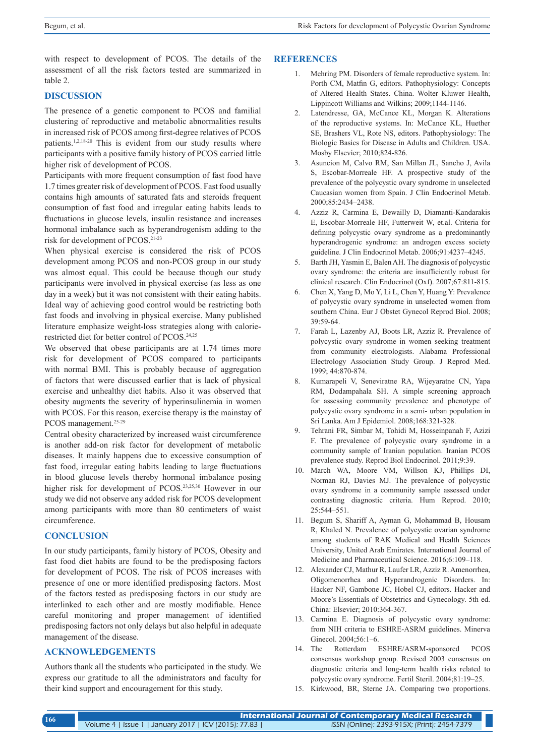with respect to development of PCOS. The details of the assessment of all the risk factors tested are summarized in table 2.

# **DISCUSSION**

The presence of a genetic component to PCOS and familial clustering of reproductive and metabolic abnormalities results in increased risk of PCOS among first-degree relatives of PCOS patients.<sup>1,2,18-20</sup> This is evident from our study results where participants with a positive family history of PCOS carried little higher risk of development of PCOS.

Participants with more frequent consumption of fast food have 1.7 times greater risk of development of PCOS. Fast food usually contains high amounts of saturated fats and steroids frequent consumption of fast food and irregular eating habits leads to fluctuations in glucose levels, insulin resistance and increases hormonal imbalance such as hyperandrogenism adding to the risk for development of PCOS.21-23

When physical exercise is considered the risk of PCOS development among PCOS and non-PCOS group in our study was almost equal. This could be because though our study participants were involved in physical exercise (as less as one day in a week) but it was not consistent with their eating habits. Ideal way of achieving good control would be restricting both fast foods and involving in physical exercise. Many published literature emphasize weight-loss strategies along with calorierestricted diet for better control of PCOS.24,25

We observed that obese participants are at 1.74 times more risk for development of PCOS compared to participants with normal BMI. This is probably because of aggregation of factors that were discussed earlier that is lack of physical exercise and unhealthy diet habits. Also it was observed that obesity augments the severity of hyperinsulinemia in women with PCOS. For this reason, exercise therapy is the mainstay of PCOS management.<sup>25-29</sup>

Central obesity characterized by increased waist circumference is another add-on risk factor for development of metabolic diseases. It mainly happens due to excessive consumption of fast food, irregular eating habits leading to large fluctuations in blood glucose levels thereby hormonal imbalance posing higher risk for development of PCOS.<sup>23,25,30</sup> However in our study we did not observe any added risk for PCOS development among participants with more than 80 centimeters of waist circumference.

## **CONCLUSION**

In our study participants, family history of PCOS, Obesity and fast food diet habits are found to be the predisposing factors for development of PCOS. The risk of PCOS increases with presence of one or more identified predisposing factors. Most of the factors tested as predisposing factors in our study are interlinked to each other and are mostly modifiable. Hence careful monitoring and proper management of identified predisposing factors not only delays but also helpful in adequate management of the disease.

## **ACKNOWLEDGEMENTS**

Authors thank all the students who participated in the study. We express our gratitude to all the administrators and faculty for their kind support and encouragement for this study.

#### **REFERENCES**

- 1. Mehring PM. Disorders of female reproductive system. In: Porth CM, Matfin G, editors. Pathophysiology: Concepts of Altered Health States. China. Wolter Kluwer Health, Lippincott Williams and Wilkins; 2009;1144-1146.
- 2. Latendresse, GA, McCance KL, Morgan K. Alterations of the reproductive systems. In: McCance KL, Huether SE, Brashers VL, Rote NS, editors. Pathophysiology: The Biologic Basics for Disease in Adults and Children. USA. Mosby Elsevier; 2010;824-826.
- 3. Asuncion M, Calvo RM, San Millan JL, Sancho J, Avila S, Escobar-Morreale HF. A prospective study of the prevalence of the polycystic ovary syndrome in unselected Caucasian women from Spain. J Clin Endocrinol Metab. 2000;85:2434–2438.
- 4. Azziz R, Carmina E, Dewailly D, Diamanti-Kandarakis E, Escobar-Morreale HF, Futterweit W, et.al. Criteria for defining polycystic ovary syndrome as a predominantly hyperandrogenic syndrome: an androgen excess society guideline. J Clin Endocrinol Metab. 2006;91:4237–4245.
- 5. Barth JH, Yasmin E, Balen AH. The diagnosis of polycystic ovary syndrome: the criteria are insufficiently robust for clinical research. Clin Endocrinol (Oxf). 2007;67:811-815.
- 6. Chen X, Yang D, Mo Y, Li L, Chen Y, Huang Y: Prevalence of polycystic ovary syndrome in unselected women from southern China. Eur J Obstet Gynecol Reprod Biol. 2008; 39:59-64.
- 7. Farah L, Lazenby AJ, Boots LR, Azziz R. Prevalence of polycystic ovary syndrome in women seeking treatment from community electrologists. Alabama Professional Electrology Association Study Group. J Reprod Med. 1999; 44:870-874.
- 8. Kumarapeli V, Seneviratne RA, Wijeyaratne CN, Yapa RM, Dodampahala SH. A simple screening approach for assessing community prevalence and phenotype of polycystic ovary syndrome in a semi- urban population in Sri Lanka. Am J Epidemiol. 2008;168:321-328.
- 9. Tehrani FR, Simbar M, Tohidi M, Hosseinpanah F, Azizi F. The prevalence of polycystic ovary syndrome in a community sample of Iranian population. Iranian PCOS prevalence study. Reprod Biol Endocrinol. 2011;9:39.
- 10. March WA, Moore VM, Willson KJ, Phillips DI, Norman RJ, Davies MJ. The prevalence of polycystic ovary syndrome in a community sample assessed under contrasting diagnostic criteria. Hum Reprod. 2010; 25:544–551.
- 11. Begum S, Shariff A, Ayman G, Mohammad B, Housam R, Khaled N. Prevalence of polycystic ovarian syndrome among students of RAK Medical and Health Sciences University, United Arab Emirates. International Journal of Medicine and Pharmaceutical Science. 2016;6:109–118.
- 12. Alexander CJ, Mathur R, Laufer LR, Azziz R. Amenorrhea, Oligomenorrhea and Hyperandrogenic Disorders. In: Hacker NF, Gambone JC, Hobel CJ, editors. Hacker and Moore's Essentials of Obstetrics and Gynecology. 5th ed. China: Elsevier; 2010:364-367.
- 13. Carmina E. Diagnosis of polycystic ovary syndrome: from NIH criteria to ESHRE-ASRM guidelines. Minerva Ginecol. 2004;56:1–6.
- 14. The Rotterdam ESHRE/ASRM-sponsored PCOS consensus workshop group. Revised 2003 consensus on diagnostic criteria and long-term health risks related to polycystic ovary syndrome. Fertil Steril. 2004;81:19–25.
- 15. Kirkwood, BR, Sterne JA. Comparing two proportions.